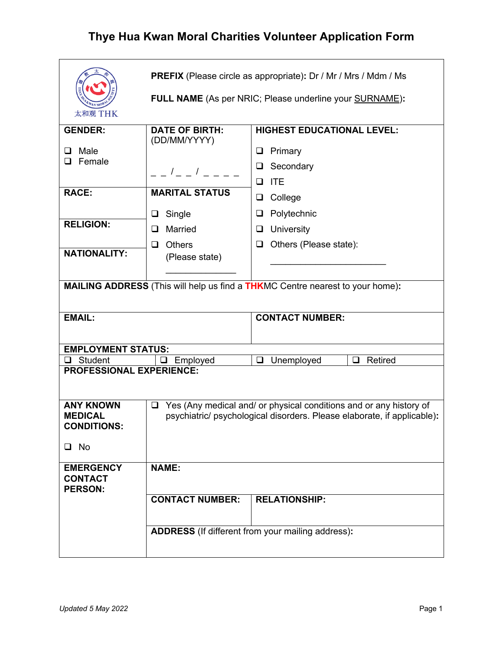| 太和观 THK                                                  | <b>PREFIX</b> (Please circle as appropriate): Dr / Mr / Mrs / Mdm / Ms<br>FULL NAME (As per NRIC; Please underline your SURNAME):                       |                                                                                      |  |  |
|----------------------------------------------------------|---------------------------------------------------------------------------------------------------------------------------------------------------------|--------------------------------------------------------------------------------------|--|--|
|                                                          |                                                                                                                                                         |                                                                                      |  |  |
| <b>GENDER:</b>                                           | <b>DATE OF BIRTH:</b><br>(DD/MM/YYYY)                                                                                                                   | <b>HIGHEST EDUCATIONAL LEVEL:</b>                                                    |  |  |
| Male<br>ப                                                |                                                                                                                                                         | Primary<br>⊔                                                                         |  |  |
| Female<br>⊔                                              |                                                                                                                                                         | Secondary<br>ப                                                                       |  |  |
|                                                          | $  /$ $  /$ $ -$                                                                                                                                        | <b>ITE</b><br>□                                                                      |  |  |
| <b>RACE:</b>                                             | <b>MARITAL STATUS</b>                                                                                                                                   |                                                                                      |  |  |
|                                                          |                                                                                                                                                         | College<br>⊔                                                                         |  |  |
|                                                          | Single<br>u                                                                                                                                             | Polytechnic<br>⊔                                                                     |  |  |
| <b>RELIGION:</b>                                         | Married<br>$\Box$                                                                                                                                       | University<br>⊔                                                                      |  |  |
|                                                          | Others<br>□                                                                                                                                             | Others (Please state):<br>⊔                                                          |  |  |
| <b>NATIONALITY:</b>                                      | (Please state)                                                                                                                                          |                                                                                      |  |  |
|                                                          |                                                                                                                                                         |                                                                                      |  |  |
|                                                          |                                                                                                                                                         | <b>MAILING ADDRESS</b> (This will help us find a THKMC Centre nearest to your home): |  |  |
|                                                          |                                                                                                                                                         |                                                                                      |  |  |
| <b>EMAIL:</b>                                            |                                                                                                                                                         | <b>CONTACT NUMBER:</b>                                                               |  |  |
|                                                          |                                                                                                                                                         |                                                                                      |  |  |
|                                                          |                                                                                                                                                         |                                                                                      |  |  |
| <b>EMPLOYMENT STATUS:</b>                                |                                                                                                                                                         |                                                                                      |  |  |
| Student<br>❏                                             | Employed<br>ப                                                                                                                                           | Retired<br>$\Box$<br>Unemployed<br>$\Box$                                            |  |  |
| <b>PROFESSIONAL EXPERIENCE:</b>                          |                                                                                                                                                         |                                                                                      |  |  |
|                                                          |                                                                                                                                                         |                                                                                      |  |  |
| <b>ANY KNOWN</b><br><b>MEDICAL</b><br><b>CONDITIONS:</b> | Yes (Any medical and/ or physical conditions and or any history of<br>$\Box$<br>psychiatric/ psychological disorders. Please elaborate, if applicable): |                                                                                      |  |  |
| $\Box$ No                                                |                                                                                                                                                         |                                                                                      |  |  |
| <b>EMERGENCY</b><br><b>CONTACT</b><br><b>PERSON:</b>     | <b>NAME:</b>                                                                                                                                            |                                                                                      |  |  |
|                                                          | <b>CONTACT NUMBER:</b>                                                                                                                                  | <b>RELATIONSHIP:</b>                                                                 |  |  |
|                                                          |                                                                                                                                                         | ADDRESS (If different from your mailing address):                                    |  |  |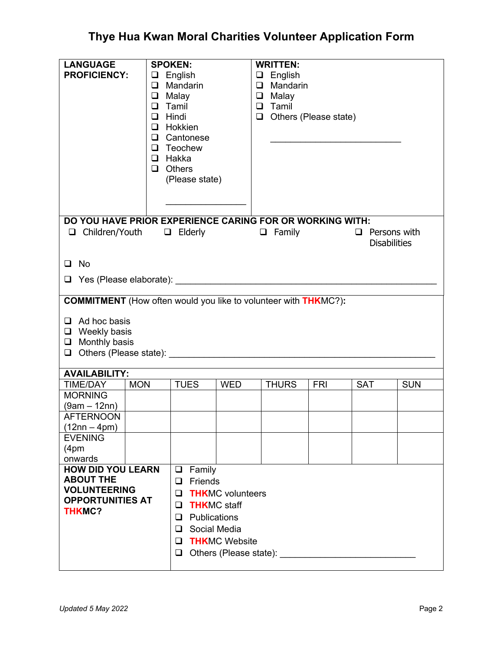| <b>SPOKEN:</b><br>$\Box$ English<br>$\Box$ Mandarin<br>$\Box$ Malay<br>$\Box$ Tamil<br>$\Box$ Hindi<br>$\Box$ Hokkien<br>$\Box$ Cantonese<br>$\Box$ Teochew<br>$\Box$ Hakka<br>$\Box$ Others |                                                                                                                                            | Tamil          |                                                                       |                                                                                                   |                                                                                                                                         |  |
|----------------------------------------------------------------------------------------------------------------------------------------------------------------------------------------------|--------------------------------------------------------------------------------------------------------------------------------------------|----------------|-----------------------------------------------------------------------|---------------------------------------------------------------------------------------------------|-----------------------------------------------------------------------------------------------------------------------------------------|--|
|                                                                                                                                                                                              |                                                                                                                                            |                |                                                                       |                                                                                                   |                                                                                                                                         |  |
|                                                                                                                                                                                              |                                                                                                                                            |                |                                                                       | $\Box$ Persons with<br><b>Disabilities</b>                                                        |                                                                                                                                         |  |
|                                                                                                                                                                                              |                                                                                                                                            |                |                                                                       |                                                                                                   |                                                                                                                                         |  |
|                                                                                                                                                                                              |                                                                                                                                            |                |                                                                       |                                                                                                   |                                                                                                                                         |  |
|                                                                                                                                                                                              |                                                                                                                                            |                |                                                                       |                                                                                                   |                                                                                                                                         |  |
|                                                                                                                                                                                              |                                                                                                                                            |                |                                                                       |                                                                                                   |                                                                                                                                         |  |
| $\Box$ Ad hoc basis<br>$\Box$ Weekly basis<br>$\Box$ Monthly basis<br>$\Box$ Others (Please state):                                                                                          |                                                                                                                                            |                |                                                                       |                                                                                                   |                                                                                                                                         |  |
|                                                                                                                                                                                              |                                                                                                                                            |                |                                                                       |                                                                                                   |                                                                                                                                         |  |
| <b>TUES</b>                                                                                                                                                                                  | <b>WED</b>                                                                                                                                 | <b>THURS</b>   | <b>FRI</b>                                                            | <b>SAT</b>                                                                                        | <b>SUN</b>                                                                                                                              |  |
|                                                                                                                                                                                              |                                                                                                                                            |                |                                                                       |                                                                                                   |                                                                                                                                         |  |
|                                                                                                                                                                                              |                                                                                                                                            |                |                                                                       |                                                                                                   |                                                                                                                                         |  |
|                                                                                                                                                                                              |                                                                                                                                            |                |                                                                       |                                                                                                   |                                                                                                                                         |  |
|                                                                                                                                                                                              |                                                                                                                                            |                |                                                                       |                                                                                                   |                                                                                                                                         |  |
|                                                                                                                                                                                              |                                                                                                                                            |                |                                                                       |                                                                                                   |                                                                                                                                         |  |
|                                                                                                                                                                                              |                                                                                                                                            |                |                                                                       |                                                                                                   |                                                                                                                                         |  |
| Family<br>$\Box$                                                                                                                                                                             |                                                                                                                                            |                |                                                                       |                                                                                                   |                                                                                                                                         |  |
| $\Box$<br>⊔<br>□<br>⊔<br>ப<br>⊔<br>❏                                                                                                                                                         | Friends<br><b>THKMC</b> volunteers<br><b>THKMC</b> staff<br>Publications<br>Social Media<br><b>THKMC Website</b><br>Others (Please state): |                |                                                                       |                                                                                                   |                                                                                                                                         |  |
|                                                                                                                                                                                              | <b>MON</b><br><b>HOW DID YOU LEARN</b><br><b>OPPORTUNITIES AT</b>                                                                          | (Please state) | <b>WRITTEN:</b><br>$\Box$ English<br>$\Box$ Malay<br>$\Box$<br>$\Box$ | $\Box$ Mandarin<br><b>COMMITMENT</b> (How often would you like to volunteer with <b>THK</b> MC?): | Others (Please state)<br>DO YOU HAVE PRIOR EXPERIENCE CARING FOR OR WORKING WITH:<br>$\Box$ Children/Youth $\Box$ Elderly $\Box$ Family |  |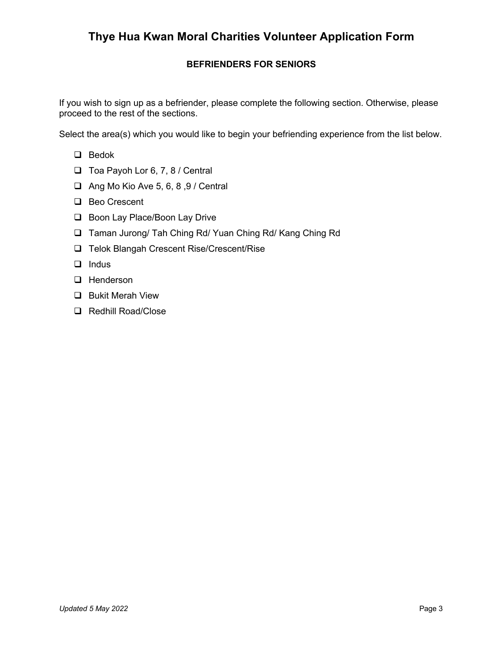### **BEFRIENDERS FOR SENIORS**

If you wish to sign up as a befriender, please complete the following section. Otherwise, please proceed to the rest of the sections.

Select the area(s) which you would like to begin your befriending experience from the list below.

- $\Box$  Bedok
- $\Box$  Toa Payoh Lor 6, 7, 8 / Central
- $\Box$  Ang Mo Kio Ave 5, 6, 8, 9 / Central
- □ Beo Crescent
- □ Boon Lay Place/Boon Lay Drive
- □ Taman Jurong/ Tah Ching Rd/ Yuan Ching Rd/ Kang Ching Rd
- □ Telok Blangah Crescent Rise/Crescent/Rise
- $\Box$  Indus
- **Q** Henderson
- **Q** Bukit Merah View
- **Q** Redhill Road/Close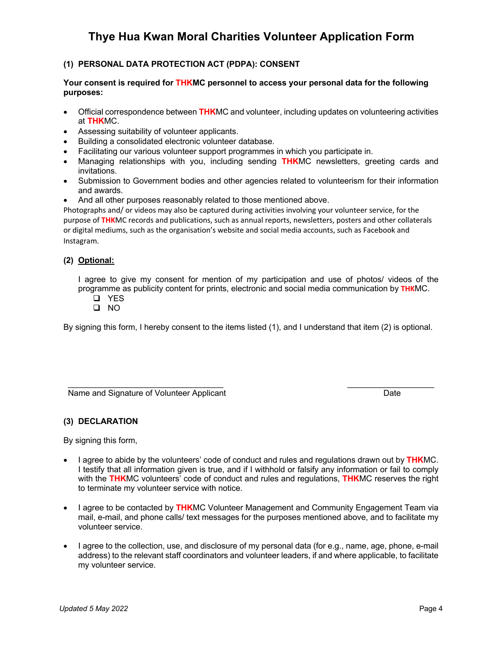### **(1) PERSONAL DATA PROTECTION ACT (PDPA): CONSENT**

#### **Your consent is required for THKMC personnel to access your personal data for the following purposes:**

- Official correspondence between **THK**MC and volunteer, including updates on volunteering activities at **THK**MC.
- Assessing suitability of volunteer applicants.
- Building a consolidated electronic volunteer database.
- Facilitating our various volunteer support programmes in which you participate in.
- Managing relationships with you, including sending **THK**MC newsletters, greeting cards and invitations.
- Submission to Government bodies and other agencies related to volunteerism for their information and awards.
- And all other purposes reasonably related to those mentioned above.

Photographs and/ or videos may also be captured during activities involving your volunteer service, for the purpose of **THK**MC records and publications, such as annual reports, newsletters, posters and other collaterals or digital mediums, such as the organisation's website and social media accounts, such as Facebook and Instagram.

### **(2) Optional:**

I agree to give my consent for mention of my participation and use of photos/ videos of the programme as publicity content for prints, electronic and social media communication by **THK**MC.

- q YES
- $\square$  NO

By signing this form, I hereby consent to the items listed (1), and I understand that item (2) is optional.

\_\_\_\_\_\_\_\_\_\_\_\_\_\_\_\_\_\_\_\_\_\_\_\_\_\_\_\_\_\_\_\_\_\_ Name and Signature of Volunteer Applicant  $\overline{\phantom{a}}$  , and the set of the set of the set of the set of the set of the set of the set of the set of the set of the set of the set of the set of the set of the set of the set of the set of the set of the set of the s Date

#### **(3) DECLARATION**

By signing this form,

- I agree to abide by the volunteers' code of conduct and rules and regulations drawn out by **THK**MC. I testify that all information given is true, and if I withhold or falsify any information or fail to comply with the **THK**MC volunteers' code of conduct and rules and regulations, **THK**MC reserves the right to terminate my volunteer service with notice.
- I agree to be contacted by **THK**MC Volunteer Management and Community Engagement Team via mail, e-mail, and phone calls/ text messages for the purposes mentioned above, and to facilitate my volunteer service.
- I agree to the collection, use, and disclosure of my personal data (for e.g., name, age, phone, e-mail address) to the relevant staff coordinators and volunteer leaders, if and where applicable, to facilitate my volunteer service.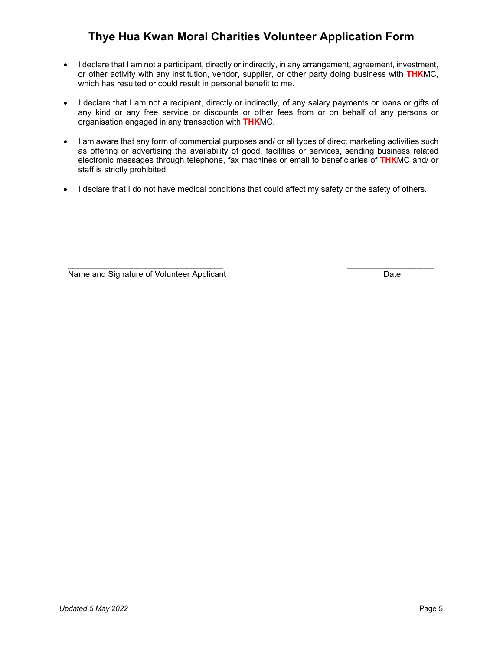- I declare that I am not a participant, directly or indirectly, in any arrangement, agreement, investment, or other activity with any institution, vendor, supplier, or other party doing business with **THK**MC, which has resulted or could result in personal benefit to me.
- I declare that I am not a recipient, directly or indirectly, of any salary payments or loans or gifts of any kind or any free service or discounts or other fees from or on behalf of any persons or organisation engaged in any transaction with **THK**MC.
- I am aware that any form of commercial purposes and/ or all types of direct marketing activities such as offering or advertising the availability of good, facilities or services, sending business related electronic messages through telephone, fax machines or email to beneficiaries of **THK**MC and/ or staff is strictly prohibited
- I declare that I do not have medical conditions that could affect my safety or the safety of others.

 $\mathcal{L}_\text{max}$  , and the set of the set of the set of the set of the set of the set of the set of the set of the set of the set of the set of the set of the set of the set of the set of the set of the set of the set of the Name and Signature of Volunteer Applicant  $\mathcal{L}_\text{max}$  and  $\mathcal{L}_\text{max}$  and  $\mathcal{L}_\text{max}$ Date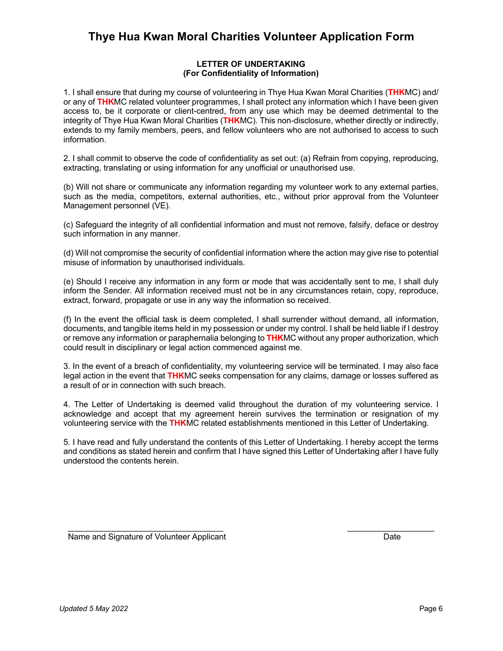### **LETTER OF UNDERTAKING (For Confidentiality of Information)**

1. I shall ensure that during my course of volunteering in Thye Hua Kwan Moral Charities (**THK**MC) and/ or any of **THK**MC related volunteer programmes, I shall protect any information which I have been given access to, be it corporate or client-centred, from any use which may be deemed detrimental to the integrity of Thye Hua Kwan Moral Charities (**THK**MC). This non-disclosure, whether directly or indirectly, extends to my family members, peers, and fellow volunteers who are not authorised to access to such information.

2. I shall commit to observe the code of confidentiality as set out: (a) Refrain from copying, reproducing, extracting, translating or using information for any unofficial or unauthorised use.

(b) Will not share or communicate any information regarding my volunteer work to any external parties, such as the media, competitors, external authorities, etc., without prior approval from the Volunteer Management personnel (VE).

(c) Safeguard the integrity of all confidential information and must not remove, falsify, deface or destroy such information in any manner.

(d) Will not compromise the security of confidential information where the action may give rise to potential misuse of information by unauthorised individuals.

(e) Should I receive any information in any form or mode that was accidentally sent to me, I shall duly inform the Sender. All information received must not be in any circumstances retain, copy, reproduce, extract, forward, propagate or use in any way the information so received.

(f) In the event the official task is deem completed, I shall surrender without demand, all information, documents, and tangible items held in my possession or under my control. I shall be held liable if I destroy or remove any information or paraphernalia belonging to **THK**MC without any proper authorization, which could result in disciplinary or legal action commenced against me.

3. In the event of a breach of confidentiality, my volunteering service will be terminated. I may also face legal action in the event that **THK**MC seeks compensation for any claims, damage or losses suffered as a result of or in connection with such breach.

4. The Letter of Undertaking is deemed valid throughout the duration of my volunteering service. I acknowledge and accept that my agreement herein survives the termination or resignation of my volunteering service with the **THK**MC related establishments mentioned in this Letter of Undertaking.

5. I have read and fully understand the contents of this Letter of Undertaking. I hereby accept the terms and conditions as stated herein and confirm that I have signed this Letter of Undertaking after I have fully understood the contents herein.

\_\_\_\_\_\_\_\_\_\_\_\_\_\_\_\_\_\_\_\_\_\_\_\_\_\_\_\_\_\_\_\_\_\_ Name and Signature of Volunteer Applicant

 $\mathcal{L}_\text{max}$  , where  $\mathcal{L}_\text{max}$  and  $\mathcal{L}_\text{max}$ **Date Date Date**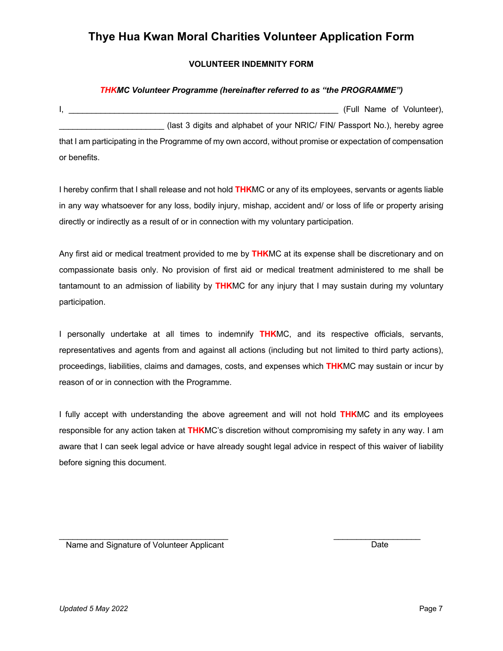### **VOLUNTEER INDEMNITY FORM**

#### *THKMC Volunteer Programme (hereinafter referred to as "the PROGRAMME")*

| (Full Name of Volunteer),                                                                                 |  |
|-----------------------------------------------------------------------------------------------------------|--|
| (last 3 digits and alphabet of your NRIC/ FIN/ Passport No.), hereby agree                                |  |
| that I am participating in the Programme of my own accord, without promise or expectation of compensation |  |
| or benefits.                                                                                              |  |

I hereby confirm that I shall release and not hold **THK**MC or any of its employees, servants or agents liable in any way whatsoever for any loss, bodily injury, mishap, accident and/ or loss of life or property arising directly or indirectly as a result of or in connection with my voluntary participation.

Any first aid or medical treatment provided to me by **THK**MC at its expense shall be discretionary and on compassionate basis only. No provision of first aid or medical treatment administered to me shall be tantamount to an admission of liability by **THK**MC for any injury that I may sustain during my voluntary participation.

I personally undertake at all times to indemnify **THK**MC, and its respective officials, servants, representatives and agents from and against all actions (including but not limited to third party actions), proceedings, liabilities, claims and damages, costs, and expenses which **THK**MC may sustain or incur by reason of or in connection with the Programme.

I fully accept with understanding the above agreement and will not hold **THK**MC and its employees responsible for any action taken at **THK**MC's discretion without compromising my safety in any way. I am aware that I can seek legal advice or have already sought legal advice in respect of this waiver of liability before signing this document.

 $\mathcal{L}_\text{max}$  and  $\mathcal{L}_\text{max}$  and  $\mathcal{L}_\text{max}$  and  $\mathcal{L}_\text{max}$ Name and Signature of Volunteer Applicant

Date

 $\mathcal{L}_\text{max}$  and  $\mathcal{L}_\text{max}$  are the set of the set of the set of the set of the set of the set of the set of the set of the set of the set of the set of the set of the set of the set of the set of the set of the set o